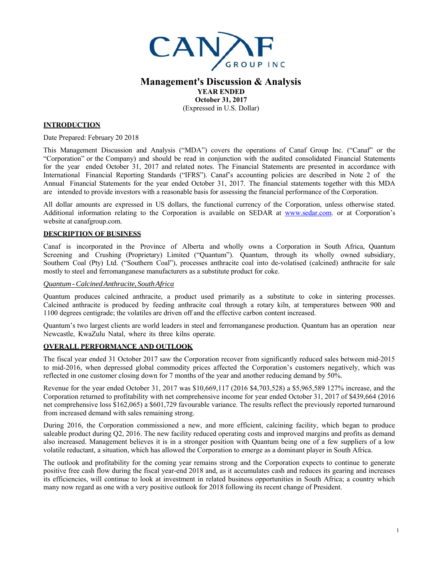

# **Management's Discussion & Analysis YEAR ENDED October 31, 2017**

(Expressed in U.S. Dollar)

### **INTRODUCTION**

Date Prepared: February 20 2018

This Management Discussion and Analysis ("MDA") covers the operations of Canaf Group Inc. ("Canaf" or the "Corporation" or the Company) and should be read in conjunction with the audited consolidated Financial Statements for the year ended October 31, 2017 and related notes. The Financial Statements are presented in accordance with International Financial Reporting Standards ("IFRS"). Canaf's accounting policies are described in Note 2 of the Annual Financial Statements for the year ended October 31, 2017. The financial statements together with this MDA are intended to provide investors with a reasonable basis for assessing the financial performance of the Corporation.

All dollar amounts are expressed in US dollars, the functional currency of the Corporation, unless otherwise stated. Additional information relating to the Corporation is available on SEDAR at www.sedar.com. or at Corporation's website at canafgroup.com.

#### **DESCRIPTION OF BUSINESS**

Canaf is incorporated in the Province of Alberta and wholly owns a Corporation in South Africa, Quantum Screening and Crushing (Proprietary) Limited ("Quantum"). Quantum, through its wholly owned subsidiary, Southern Coal (Pty) Ltd. ("Southern Coal"), processes anthracite coal into de-volatised (calcined) anthracite for sale mostly to steel and ferromanganese manufacturers as a substitute product for coke.

#### *Quantum - Calcined Anthracite, South Africa*

Quantum produces calcined anthracite, a product used primarily as a substitute to coke in sintering processes. Calcined anthracite is produced by feeding anthracite coal through a rotary kiln, at temperatures between 900 and 1100 degrees centigrade; the volatiles are driven off and the effective carbon content increased.

Quantum's two largest clients are world leaders in steel and ferromanganese production. Quantum has an operation near Newcastle, KwaZulu Natal, where its three kilns operate.

# **OVERALL PERFORMANCE AND OUTLOOK**

The fiscal year ended 31 October 2017 saw the Corporation recover from significantly reduced sales between mid-2015 to mid-2016, when depressed global commodity prices affected the Corporation's customers negatively, which was reflected in one customer closing down for 7 months of the year and another reducing demand by 50%.

Revenue for the year ended October 31, 2017 was \$10,669,117 (2016 \$4,703,528) a \$5,965,589 127% increase, and the Corporation returned to profitability with net comprehensive income for year ended October 31, 2017 of \$439,664 (2016 net comprehensive loss \$162,065) a \$601,729 favourable variance. The results reflect the previously reported turnaround from increased demand with sales remaining strong.

During 2016, the Corporation commissioned a new, and more efficient, calcining facility, which began to produce saleable product during Q2, 2016. The new facility reduced operating costs and improved margins and profits as demand also increased. Management believes it is in a stronger position with Quantum being one of a few suppliers of a low volatile reductant, a situation, which has allowed the Corporation to emerge as a dominant player in South Africa.

The outlook and profitability for the coming year remains strong and the Corporation expects to continue to generate positive free cash flow during the fiscal year-end 2018 and, as it accumulates cash and reduces its gearing and increases its efficiencies, will continue to look at investment in related business opportunities in South Africa; a country which many now regard as one with a very positive outlook for 2018 following its recent change of President.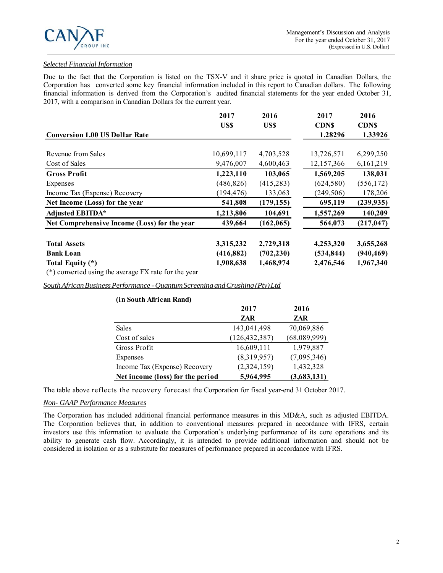# *Selected Financial Information*

Due to the fact that the Corporation is listed on the TSX-V and it share price is quoted in Canadian Dollars, the Corporation has converted some key financial information included in this report to Canadian dollars. The following financial information is derived from the Corporation's audited financial statements for the year ended October 31, 2017, with a comparison in Canadian Dollars for the current year.

|                                                        | 2017       | 2016       | 2017                   | 2016                   |
|--------------------------------------------------------|------------|------------|------------------------|------------------------|
| <b>Conversion 1.00 US Dollar Rate</b>                  | US\$       | US\$       | <b>CDNS</b><br>1.28296 | <b>CDNS</b><br>1.33926 |
| Revenue from Sales                                     | 10,699,117 | 4,703,528  | 13,726,571             | 6,299,250              |
| Cost of Sales                                          | 9,476,007  | 4,600,463  | 12,157,366             | 6,161,219              |
| <b>Gross Profit</b>                                    | 1,223,110  | 103,065    | 1,569,205              | 138,031                |
| Expenses                                               | (486, 826) | (415, 283) | (624,580)              | (556, 172)             |
| Income Tax (Expense) Recovery                          | (194, 476) | 133,063    | (249, 506)             | 178,206                |
| Net Income (Loss) for the year                         | 541,808    | (179, 155) | 695,119                | (239, 935)             |
| <b>Adjusted EBITDA*</b>                                | 1,213,806  | 104,691    | 1,557,269              | 140,209                |
| Net Comprehensive Income (Loss) for the year           | 439,664    | (162, 065) | 564,073                | (217, 047)             |
| <b>Total Assets</b>                                    | 3,315,232  | 2,729,318  | 4,253,320              | 3,655,268              |
| <b>Bank Loan</b>                                       | (416,882)  | (702, 230) | (534, 844)             | (940, 469)             |
| Total Equity (*)                                       | 1,908,638  | 1,468,974  | 2,476,546              | 1,967,340              |
| $(*)$ converted using the average FX rate for the year |            |            |                        |                        |

*South African Business Performance - Quantum Screening and Crushing (Pty) Ltd*

| (in South African Rand)          |                 |              |
|----------------------------------|-----------------|--------------|
|                                  | 2017            | 2016         |
|                                  | ZAR             | ZAR          |
| Sales                            | 143,041,498     | 70,069,886   |
| Cost of sales                    | (126, 432, 387) | (68,089,999) |
| Gross Profit                     | 16,609,111      | 1,979,887    |
| Expenses                         | (8,319,957)     | (7,095,346)  |
| Income Tax (Expense) Recovery    | (2,324,159)     | 1,432,328    |
| Net income (loss) for the period | 5,964,995       | (3,683,131)  |

The table above reflects the recovery forecast the Corporation for fiscal year-end 31 October 2017.

# *Non- GAAP Performance Measures*

The Corporation has included additional financial performance measures in this MD&A, such as adjusted EBITDA. The Corporation believes that, in addition to conventional measures prepared in accordance with IFRS, certain investors use this information to evaluate the Corporation's underlying performance of its core operations and its ability to generate cash flow. Accordingly, it is intended to provide additional information and should not be considered in isolation or as a substitute for measures of performance prepared in accordance with IFRS.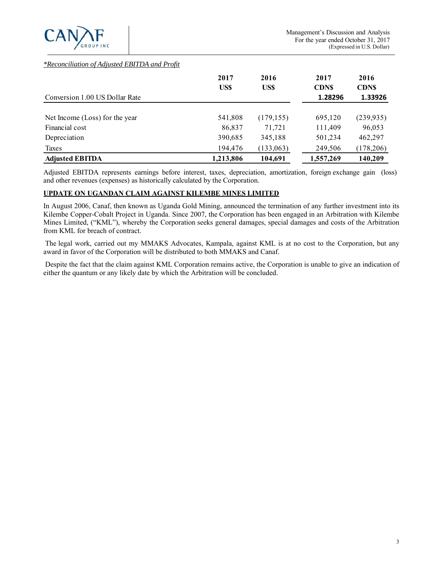

### *\*Reconciliation of Adjusted EBITDA and Profit*

|                                | 2017<br>US\$ | 2016<br>US\$ | 2017<br><b>CDNS</b> | 2016<br><b>CDNS</b> |
|--------------------------------|--------------|--------------|---------------------|---------------------|
| Conversion 1.00 US Dollar Rate |              |              | 1.28296             | 1.33926             |
| Net Income (Loss) for the year | 541,808      | (179, 155)   | 695,120             | (239, 935)          |
| Financial cost                 | 86,837       | 71,721       | 111,409             | 96,053              |
| Depreciation                   | 390,685      | 345,188      | 501,234             | 462,297             |
| Taxes                          | 194,476      | (133, 063)   | 249,506             | (178,206)           |
| <b>Adjusted EBITDA</b>         | 1,213,806    | 104,691      | 1,557,269           | 140,209             |

Adjusted EBITDA represents earnings before interest, taxes, depreciation, amortization, foreign exchange gain (loss) and other revenues (expenses) as historically calculated by the Corporation.

### **UPDATE ON UGANDAN CLAIM AGAINST KILEMBE MINES LIMITED**

In August 2006, Canaf, then known as Uganda Gold Mining, announced the termination of any further investment into its Kilembe Copper-Cobalt Project in Uganda. Since 2007, the Corporation has been engaged in an Arbitration with Kilembe Mines Limited, ("KML"), whereby the Corporation seeks general damages, special damages and costs of the Arbitration from KML for breach of contract.

 The legal work, carried out my MMAKS Advocates, Kampala, against KML is at no cost to the Corporation, but any award in favor of the Corporation will be distributed to both MMAKS and Canaf.

 Despite the fact that the claim against KML Corporation remains active, the Corporation is unable to give an indication of either the quantum or any likely date by which the Arbitration will be concluded.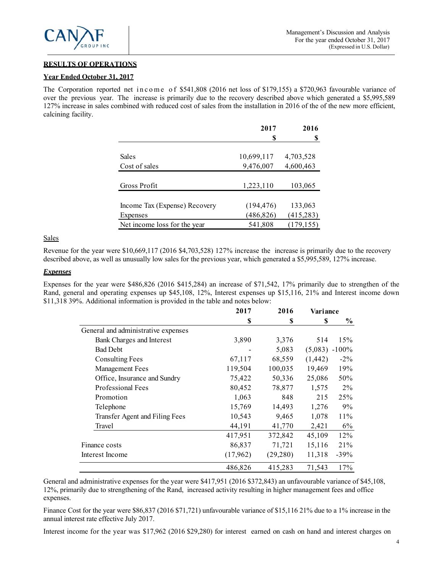

## **RESULTS OF OPERATIONS**

#### **Year Ended October 31, 2017**

The Corporation reported net in c o m e of \$541,808 (2016 net loss of \$179,155) a \$720,963 favourable variance of over the previous year. The increase is primarily due to the recovery described above which generated a \$5,995,589 127% increase in sales combined with reduced cost of sales from the installation in 2016 of the of the new more efficient, calcining facility.

|                               | 2017       | 2016       |
|-------------------------------|------------|------------|
|                               | S          |            |
|                               |            |            |
| Sales                         | 10,699,117 | 4,703,528  |
| Cost of sales                 | 9,476,007  | 4,600,463  |
|                               |            |            |
| Gross Profit                  | 1,223,110  | 103,065    |
|                               |            |            |
| Income Tax (Expense) Recovery | (194, 476) | 133,063    |
| Expenses                      | (486, 826) | (415, 283) |
| Net income loss for the year  | 541,808    | (179, 155) |

**Sales** 

Revenue for the year were \$10,669,117 (2016 \$4,703,528) 127% increase the increase is primarily due to the recovery described above, as well as unusually low sales for the previous year, which generated a \$5,995,589, 127% increase.

# *Expenses*

Expenses for the year were \$486,826 (2016 \$415,284) an increase of \$71,542, 17% primarily due to strengthen of the Rand, general and operating expenses up \$45,108, 12%, Interest expenses up \$15,116, 21% and Interest income down \$11,318 39%. Additional information is provided in the table and notes below:

|                                     | 2017     | 2016     | Variance          |        |  |
|-------------------------------------|----------|----------|-------------------|--------|--|
|                                     | S        | \$       | S                 | $\%$   |  |
| General and administrative expenses |          |          |                   |        |  |
| Bank Charges and Interest           | 3,890    | 3,376    | 514               | 15%    |  |
| <b>Bad Debt</b>                     |          | 5,083    | $(5,083) - 100\%$ |        |  |
| <b>Consulting Fees</b>              | 67,117   | 68,559   | (1, 442)          | $-2\%$ |  |
| <b>Management Fees</b>              | 119,504  | 100,035  | 19,469            | 19%    |  |
| Office, Insurance and Sundry        | 75,422   | 50,336   | 25,086            | 50%    |  |
| Professional Fees                   | 80,452   | 78,877   | 1,575             | $2\%$  |  |
| Promotion                           | 1,063    | 848      | 215               | 25%    |  |
| Telephone                           | 15,769   | 14,493   | 1,276             | 9%     |  |
| Transfer Agent and Filing Fees      | 10,543   | 9,465    | 1,078             | $11\%$ |  |
| Travel                              | 44,191   | 41,770   | 2,421             | 6%     |  |
|                                     | 417,951  | 372,842  | 45,109            | 12%    |  |
| Finance costs                       | 86,837   | 71,721   | 15,116            | 21%    |  |
| Interest Income                     | (17,962) | (29,280) | 11,318            | $-39%$ |  |
|                                     | 486,826  | 415,283  | 71,543            | 17%    |  |

General and administrative expenses for the year were \$417,951 (2016 \$372,843) an unfavourable variance of \$45,108, 12%, primarily due to strengthening of the Rand, increased activity resulting in higher management fees and office expenses.

Finance Cost for the year were \$86,837 (2016 \$71,721) unfavourable variance of \$15,116 21% due to a 1% increase in the annual interest rate effective July 2017.

Interest income for the year was \$17,962 (2016 \$29,280) for interest earned on cash on hand and interest charges on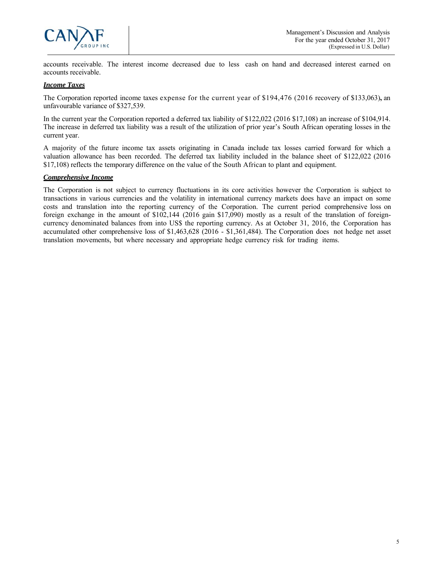

accounts receivable. The interest income decreased due to less cash on hand and decreased interest earned on accounts receivable.

### *Income Taxes*

The Corporation reported income taxes expense for the current year of \$194,476 (2016 recovery of \$133,063)**,** an unfavourable variance of \$327,539.

In the current year the Corporation reported a deferred tax liability of \$122,022 (2016 \$17,108) an increase of \$104,914. The increase in deferred tax liability was a result of the utilization of prior year's South African operating losses in the current year.

A majority of the future income tax assets originating in Canada include tax losses carried forward for which a valuation allowance has been recorded. The deferred tax liability included in the balance sheet of \$122,022 (2016 \$17,108) reflects the temporary difference on the value of the South African to plant and equipment.

### *Comprehensive Income*

The Corporation is not subject to currency fluctuations in its core activities however the Corporation is subject to transactions in various currencies and the volatility in international currency markets does have an impact on some costs and translation into the reporting currency of the Corporation. The current period comprehensive loss on foreign exchange in the amount of \$102,144 (2016 gain \$17,090) mostly as a result of the translation of foreigncurrency denominated balances from into US\$ the reporting currency. As at October 31, 2016, the Corporation has accumulated other comprehensive loss of \$1,463,628 (2016 - \$1,361,484). The Corporation does not hedge net asset translation movements, but where necessary and appropriate hedge currency risk for trading items.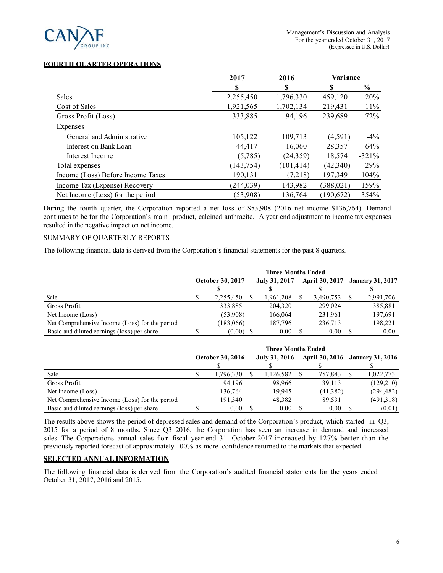

# **FOURTH QUARTER OPERATIONS**

|                                   | 2017       | 2016       | Variance   |               |
|-----------------------------------|------------|------------|------------|---------------|
|                                   | S          | S          | \$         | $\frac{6}{9}$ |
| <b>Sales</b>                      | 2,255,450  | 1,796,330  | 459,120    | 20%           |
| Cost of Sales                     | 1,921,565  | 1,702,134  | 219,431    | $11\%$        |
| Gross Profit (Loss)               | 333,885    | 94,196     | 239,689    | 72%           |
| Expenses                          |            |            |            |               |
| General and Administrative        | 105,122    | 109,713    | (4,591)    | $-4\%$        |
| Interest on Bank Loan             | 44.417     | 16,060     | 28,357     | 64%           |
| Interest Income                   | (5,785)    | (24, 359)  | 18,574     | $-321%$       |
| Total expenses                    | (143, 754) | (101, 414) | (42,340)   | 29%           |
| Income (Loss) Before Income Taxes | 190,131    | (7,218)    | 197,349    | 104%          |
| Income Tax (Expense) Recovery     | (244, 039) | 143,982    | (388, 021) | 159%          |
| Net Income (Loss) for the period  | (53,908)   | 136,764    | (190,672)  | 354%          |

During the fourth quarter, the Corporation reported a net loss of \$53,908 (2016 net income \$136,764). Demand continues to be for the Corporation's main product, calcined anthracite. A year end adjustment to income tax expenses resulted in the negative impact on net income.

### SUMMARY OF QUARTERLY REPORTS

The following financial data is derived from the Corporation's financial statements for the past 8 quarters.

|                                                | <b>Three Months Ended</b> |                         |  |               |  |                                 |           |
|------------------------------------------------|---------------------------|-------------------------|--|---------------|--|---------------------------------|-----------|
|                                                |                           | <b>October 30, 2017</b> |  | July 31, 2017 |  | April 30, 2017 January 31, 2017 |           |
|                                                |                           |                         |  |               |  |                                 |           |
| Sale                                           |                           | 2,255,450               |  | 1,961,208     |  | 3,490,753                       | 2,991,706 |
| Gross Profit                                   |                           | 333,885                 |  | 204,320       |  | 299,024                         | 385,881   |
| Net Income (Loss)                              |                           | (53,908)                |  | 166,064       |  | 231,961                         | 197,691   |
| Net Comprehensive Income (Loss) for the period |                           | (183,066)               |  | 187,796       |  | 236,713                         | 198,221   |
| Basic and diluted earnings (loss) per share    |                           | $(0.00)$ \$             |  | 0.00          |  | 0.00                            | 0.00      |

|                                                | <b>Three Months Ended</b> |                         |  |               |  |          |                                 |
|------------------------------------------------|---------------------------|-------------------------|--|---------------|--|----------|---------------------------------|
|                                                |                           | <b>October 30, 2016</b> |  | July 31, 2016 |  |          | April 30, 2016 January 31, 2016 |
|                                                |                           |                         |  |               |  |          |                                 |
| Sale                                           |                           | 1,796,330               |  | 1,126,582     |  | 757,843  | 1,022,773                       |
| Gross Profit                                   |                           | 94.196                  |  | 98.966        |  | 39.113   | (129,210)                       |
| Net Income (Loss)                              |                           | 136,764                 |  | 19.945        |  | (41,382) | (294, 482)                      |
| Net Comprehensive Income (Loss) for the period |                           | 191,340                 |  | 48.382        |  | 89,531   | (491,318)                       |
| Basic and diluted earnings (loss) per share    |                           | 0.00                    |  | 0.00          |  | 0.00     | (0.01)                          |

The results above shows the period of depressed sales and demand of the Corporation's product, which started in Q3, 2015 for a period of 8 months. Since Q3 2016, the Corporation has seen an increase in demand and increased sales. The Corporations annual sales for fiscal year-end 31 October 2017 increased by 127% better than the previously reported forecast of approximately 100% as more confidence returned to the markets that expected.

#### **SELECTED ANNUAL INFORMATION**

The following financial data is derived from the Corporation's audited financial statements for the years ended October 31, 2017, 2016 and 2015.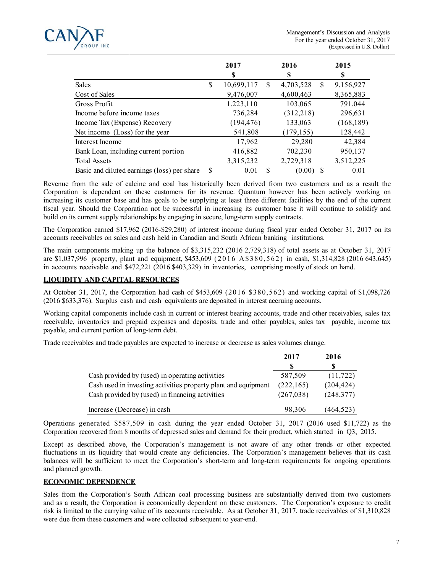

|                                             |    | 2017<br>S  |               | 2016<br>\$ |               | 2015<br>\$ |
|---------------------------------------------|----|------------|---------------|------------|---------------|------------|
| Sales                                       | \$ | 10,699,117 | S             | 4,703,528  | <sup>\$</sup> | 9,156,927  |
| Cost of Sales                               |    | 9,476,007  |               | 4,600,463  |               | 8,365,883  |
| Gross Profit                                |    | 1,223,110  |               | 103,065    |               | 791,044    |
| Income before income taxes                  |    | 736,284    |               | (312, 218) |               | 296,631    |
| Income Tax (Expense) Recovery               |    | (194, 476) |               | 133,063    |               | (168, 189) |
| Net income (Loss) for the year              |    | 541,808    |               | (179, 155) |               | 128,442    |
| Interest Income                             |    | 17,962     |               | 29,280     |               | 42,384     |
| Bank Loan, including current portion        |    | 416,882    |               | 702,230    |               | 950,137    |
| <b>Total Assets</b>                         |    | 3,315,232  |               | 2,729,318  |               | 3,512,225  |
| Basic and diluted earnings (loss) per share | S  | 0.01       | <sup>\$</sup> | (0.00)     |               | 0.01       |

Revenue from the sale of calcine and coal has historically been derived from two customers and as a result the Corporation is dependent on these customers for its revenue. Quantum however has been actively working on increasing its customer base and has goals to be supplying at least three different facilities by the end of the current fiscal year. Should the Corporation not be successful in increasing its customer base it will continue to solidify and build on its current supply relationships by engaging in secure, long-term supply contracts.

The Corporation earned \$17,962 (2016-\$29,280) of interest income during fiscal year ended October 31, 2017 on its accounts receivables on sales and cash held in Canadian and South African banking institutions.

The main components making up the balance of \$3,315,232 (2016 2,729,318) of total assets as at October 31, 2017 are \$1,037,996 property, plant and equipment, \$453,609 (2016 A \$380,562) in cash, \$1,314,828 (2016 643,645) in accounts receivable and \$472,221 (2016 \$403,329) in inventories, comprising mostly of stock on hand.

# **LIQUIDITY AND CAPITAL RESOURCES**

At October 31, 2017, the Corporation had cash of \$453,609 (2016 \$380,562) and working capital of \$1,098,726 (2016 \$633,376). Surplus cash and cash equivalents are deposited in interest accruing accounts.

Working capital components include cash in current or interest bearing accounts, trade and other receivables, sales tax receivable, inventories and prepaid expenses and deposits, trade and other payables, sales tax payable, income tax payable, and current portion of long-term debt.

Trade receivables and trade payables are expected to increase or decrease as sales volumes change.

|                                                                | 2017       | 2016       |
|----------------------------------------------------------------|------------|------------|
|                                                                | S          |            |
| Cash provided by (used) in operating activities                | 587.509    | (11, 722)  |
| Cash used in investing activities property plant and equipment | (222,165)  | (204, 424) |
| Cash provided by (used) in financing activities                | (267, 038) | (248, 377) |
| Increase (Decrease) in cash                                    | 98,306     | (464,523)  |

Operations generated \$587,509 in cash during the year ended October 31, 2017 (2016 used \$11,722) as the Corporation recovered from 8 months of depressed sales and demand for their product, which started in Q3, 2015.

Except as described above, the Corporation's management is not aware of any other trends or other expected fluctuations in its liquidity that would create any deficiencies. The Corporation's management believes that its cash balances will be sufficient to meet the Corporation's short-term and long-term requirements for ongoing operations and planned growth.

# **ECONOMIC DEPENDENCE**

Sales from the Corporation's South African coal processing business are substantially derived from two customers and as a result, the Corporation is economically dependent on these customers. The Corporation's exposure to credit risk is limited to the carrying value of its accounts receivable. As at October 31, 2017, trade receivables of \$1,310,828 were due from these customers and were collected subsequent to year-end.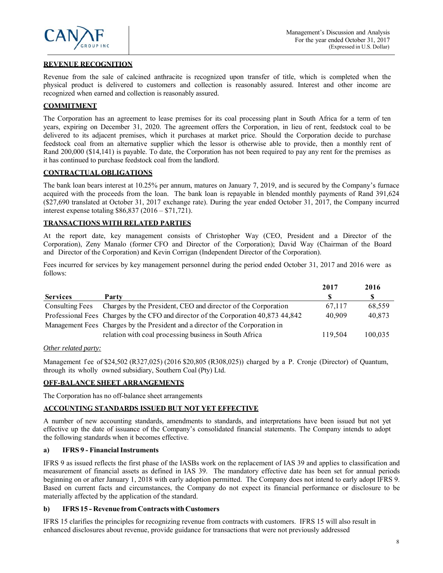

# **REVENUE RECOGNITION**

Revenue from the sale of calcined anthracite is recognized upon transfer of title, which is completed when the physical product is delivered to customers and collection is reasonably assured. Interest and other income are recognized when earned and collection is reasonably assured.

# **COMMITMENT**

The Corporation has an agreement to lease premises for its coal processing plant in South Africa for a term of ten years, expiring on December 31, 2020. The agreement offers the Corporation, in lieu of rent, feedstock coal to be delivered to its adjacent premises, which it purchases at market price. Should the Corporation decide to purchase feedstock coal from an alternative supplier which the lessor is otherwise able to provide, then a monthly rent of Rand 200,000 (\$14,141) is payable. To date, the Corporation has not been required to pay any rent for the premises as it has continued to purchase feedstock coal from the landlord.

# **CONTRACTUAL OBLIGATIONS**

The bank loan bears interest at 10.25% per annum, matures on January 7, 2019, and is secured by the Company's furnace acquired with the proceeds from the loan. The bank loan is repayable in blended monthly payments of Rand 391,624 (\$27,690 translated at October 31, 2017 exchange rate). During the year ended October 31, 2017, the Company incurred interest expense totaling \$86,837 (2016 – \$71,721).

# **TRANSACTIONS WITH RELATED PARTIES**

At the report date, key management consists of Christopher Way (CEO, President and a Director of the Corporation), Zeny Manalo (former CFO and Director of the Corporation); David Way (Chairman of the Board and Director of the Corporation) and Kevin Corrigan (Independent Director of the Corporation).

Fees incurred for services by key management personnel during the period ended October 31, 2017 and 2016 were as follows:

|                 |                                                                                    | 2017    | 2016    |
|-----------------|------------------------------------------------------------------------------------|---------|---------|
| <b>Services</b> | Party                                                                              |         |         |
| Consulting Fees | Charges by the President, CEO and director of the Corporation                      | 67.117  | 68,559  |
|                 | Professional Fees Charges by the CFO and director of the Corporation 40,873 44,842 | 40,909  | 40,873  |
|                 | Management Fees Charges by the President and a director of the Corporation in      |         |         |
|                 | relation with coal processing business in South Africa                             | 119.504 | 100,035 |

# *Other related party:*

Management fee of \$24,502 (R327,025) (2016 \$20,805 (R308,025)) charged by a P. Cronje (Director) of Quantum, through its wholly owned subsidiary, Southern Coal (Pty) Ltd.

# **OFF-BALANCE SHEET ARRANGEMENTS**

The Corporation has no off-balance sheet arrangements

# **ACCOUNTING STANDARDS ISSUED BUT NOT YET EFFECTIVE**

A number of new accounting standards, amendments to standards, and interpretations have been issued but not yet effective up the date of issuance of the Company's consolidated financial statements. The Company intends to adopt the following standards when it becomes effective.

# **a) IFRS 9 - Financial Instruments**

IFRS 9 as issued reflects the first phase of the IASBs work on the replacement of IAS 39 and applies to classification and measurement of financial assets as defined in IAS 39. The mandatory effective date has been set for annual periods beginning on or after January 1, 2018 with early adoption permitted. The Company does not intend to early adopt IFRS 9. Based on current facts and circumstances, the Company do not expect its financial performance or disclosure to be materially affected by the application of the standard.

# **b) IFRS 15 - Revenue from Contracts with Customers**

IFRS 15 clarifies the principles for recognizing revenue from contracts with customers. IFRS 15 will also result in enhanced disclosures about revenue, provide guidance for transactions that were not previously addressed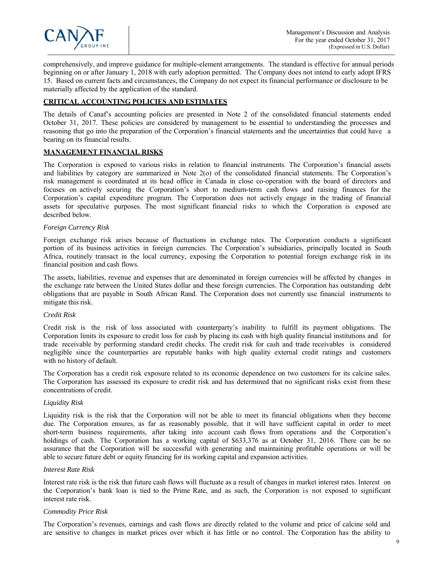

comprehensively, and improve guidance for multiple-element arrangements. The standard is effective for annual periods beginning on or after January 1, 2018 with early adoption permitted. The Company does not intend to early adopt IFRS 15. Based on current facts and circumstances, the Company do not expect its financial performance or disclosure to be materially affected by the application of the standard.

# **CRITICAL ACCOUNTING POLICIES AND ESTIMATES**

The details of Canaf's accounting policies are presented in Note 2 of the consolidated financial statements ended October 31, 2017. These policies are considered by management to be essential to understanding the processes and reasoning that go into the preparation of the Corporation's financial statements and the uncertainties that could have a bearing on its financial results.

# **MANAGEMENT FINANCIAL RISKS**

The Corporation is exposed to various risks in relation to financial instruments. The Corporation's financial assets and liabilities by category are summarized in Note 2(o) of the consolidated financial statements. The Corporation's risk management is coordinated at its head office in Canada in close co-operation with the board of directors and focuses on actively securing the Corporation's short to medium-term cash flows and raising finances for the Corporation's capital expenditure program. The Corporation does not actively engage in the trading of financial assets for speculative purposes. The most significant financial risks to which the Corporation is exposed are described below.

### *Foreign Currency Risk*

Foreign exchange risk arises because of fluctuations in exchange rates. The Corporation conducts a significant portion of its business activities in foreign currencies. The Corporation's subsidiaries, principally located in South Africa, routinely transact in the local currency, exposing the Corporation to potential foreign exchange risk in its financial position and cash flows.

The assets, liabilities, revenue and expenses that are denominated in foreign currencies will be affected by changes in the exchange rate between the United States dollar and these foreign currencies. The Corporation has outstanding debt obligations that are payable in South African Rand. The Corporation does not currently use financial instruments to mitigate this risk.

#### *Credit Risk*

Credit risk is the risk of loss associated with counterparty's inability to fulfill its payment obligations. The Corporation limits its exposure to credit loss for cash by placing its cash with high quality financial institutions and for trade receivable by performing standard credit checks. The credit risk for cash and trade receivables is considered negligible since the counterparties are reputable banks with high quality external credit ratings and customers with no history of default.

The Corporation has a credit risk exposure related to its economic dependence on two customers for its calcine sales. The Corporation has assessed its exposure to credit risk and has determined that no significant risks exist from these concentrations of credit.

#### *Liquidity Risk*

Liquidity risk is the risk that the Corporation will not be able to meet its financial obligations when they become due. The Corporation ensures, as far as reasonably possible, that it will have sufficient capital in order to meet short-term business requirements, after taking into account cash flows from operations and the Corporation's holdings of cash. The Corporation has a working capital of \$633,376 as at October 31, 2016. There can be no assurance that the Corporation will be successful with generating and maintaining profitable operations or will be able to secure future debt or equity financing for its working capital and expansion activities.

#### *Interest Rate Risk*

Interest rate risk is the risk that future cash flows will fluctuate as a result of changes in market interest rates. Interest on the Corporation's bank loan is tied to the Prime Rate, and as such, the Corporation is not exposed to significant interest rate risk.

#### *Commodity Price Risk*

The Corporation's revenues, earnings and cash flows are directly related to the volume and price of calcine sold and are sensitive to changes in market prices over which it has little or no control. The Corporation has the ability to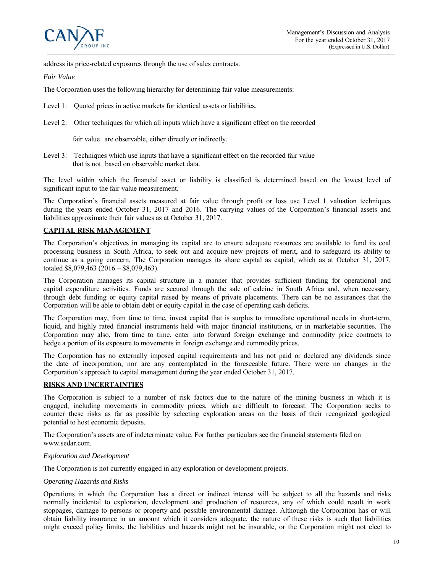address its price-related exposures through the use of sales contracts.

*Fair Value*

The Corporation uses the following hierarchy for determining fair value measurements:

- Level 1: Quoted prices in active markets for identical assets or liabilities.
- Level 2: Other techniques for which all inputs which have a significant effect on the recorded

fair value are observable, either directly or indirectly.

Level 3: Techniques which use inputs that have a significant effect on the recorded fair value that is not based on observable market data.

The level within which the financial asset or liability is classified is determined based on the lowest level of significant input to the fair value measurement.

The Corporation's financial assets measured at fair value through profit or loss use Level 1 valuation techniques during the years ended October 31, 2017 and 2016. The carrying values of the Corporation's financial assets and liabilities approximate their fair values as at October 31, 2017.

# **CAPITAL RISK MANAGEMENT**

The Corporation's objectives in managing its capital are to ensure adequate resources are available to fund its coal processing business in South Africa, to seek out and acquire new projects of merit, and to safeguard its ability to continue as a going concern. The Corporation manages its share capital as capital, which as at October 31, 2017, totaled \$8,079,463 (2016 – \$8,079,463).

The Corporation manages its capital structure in a manner that provides sufficient funding for operational and capital expenditure activities. Funds are secured through the sale of calcine in South Africa and, when necessary, through debt funding or equity capital raised by means of private placements. There can be no assurances that the Corporation will be able to obtain debt or equity capital in the case of operating cash deficits.

The Corporation may, from time to time, invest capital that is surplus to immediate operational needs in short-term, liquid, and highly rated financial instruments held with major financial institutions, or in marketable securities. The Corporation may also, from time to time, enter into forward foreign exchange and commodity price contracts to hedge a portion of its exposure to movements in foreign exchange and commodity prices.

The Corporation has no externally imposed capital requirements and has not paid or declared any dividends since the date of incorporation, nor are any contemplated in the foreseeable future. There were no changes in the Corporation's approach to capital management during the year ended October 31, 2017.

# **RISKS AND UNCERTAINTIES**

The Corporation is subject to a number of risk factors due to the nature of the mining business in which it is engaged, including movements in commodity prices, which are difficult to forecast. The Corporation seeks to counter these risks as far as possible by selecting exploration areas on the basis of their recognized geological potential to host economic deposits.

The Corporation's assets are of indeterminate value. For further particulars see the financial statements filed on www.sedar.com.

#### *Exploration and Development*

The Corporation is not currently engaged in any exploration or development projects.

#### *Operating Hazards and Risks*

Operations in which the Corporation has a direct or indirect interest will be subject to all the hazards and risks normally incidental to exploration, development and production of resources, any of which could result in work stoppages, damage to persons or property and possible environmental damage. Although the Corporation has or will obtain liability insurance in an amount which it considers adequate, the nature of these risks is such that liabilities might exceed policy limits, the liabilities and hazards might not be insurable, or the Corporation might not elect to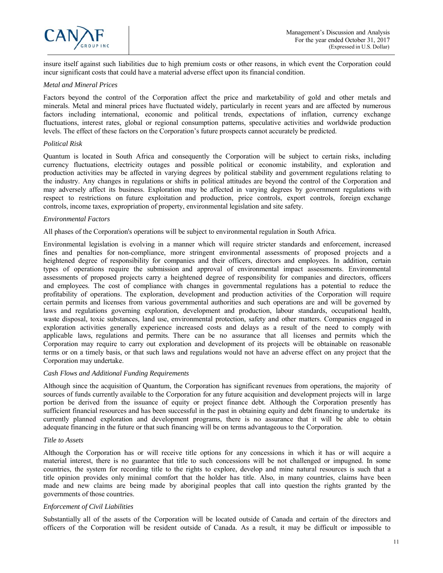

insure itself against such liabilities due to high premium costs or other reasons, in which event the Corporation could incur significant costs that could have a material adverse effect upon its financial condition.

### *Metal and Mineral Prices*

Factors beyond the control of the Corporation affect the price and marketability of gold and other metals and minerals. Metal and mineral prices have fluctuated widely, particularly in recent years and are affected by numerous factors including international, economic and political trends, expectations of inflation, currency exchange fluctuations, interest rates, global or regional consumption patterns, speculative activities and worldwide production levels. The effect of these factors on the Corporation's future prospects cannot accurately be predicted.

### *Political Risk*

Quantum is located in South Africa and consequently the Corporation will be subject to certain risks, including currency fluctuations, electricity outages and possible political or economic instability, and exploration and production activities may be affected in varying degrees by political stability and government regulations relating to the industry. Any changes in regulations or shifts in political attitudes are beyond the control of the Corporation and may adversely affect its business. Exploration may be affected in varying degrees by government regulations with respect to restrictions on future exploitation and production, price controls, export controls, foreign exchange controls, income taxes, expropriation of property, environmental legislation and site safety.

### *Environmental Factors*

All phases of the Corporation's operations will be subject to environmental regulation in South Africa.

Environmental legislation is evolving in a manner which will require stricter standards and enforcement, increased fines and penalties for non-compliance, more stringent environmental assessments of proposed projects and a heightened degree of responsibility for companies and their officers, directors and employees. In addition, certain types of operations require the submission and approval of environmental impact assessments. Environmental assessments of proposed projects carry a heightened degree of responsibility for companies and directors, officers and employees. The cost of compliance with changes in governmental regulations has a potential to reduce the profitability of operations. The exploration, development and production activities of the Corporation will require certain permits and licenses from various governmental authorities and such operations are and will be governed by laws and regulations governing exploration, development and production, labour standards, occupational health, waste disposal, toxic substances, land use, environmental protection, safety and other matters. Companies engaged in exploration activities generally experience increased costs and delays as a result of the need to comply with applicable laws, regulations and permits. There can be no assurance that all licenses and permits which the Corporation may require to carry out exploration and development of its projects will be obtainable on reasonable terms or on a timely basis, or that such laws and regulations would not have an adverse effect on any project that the Corporation may undertake.

# *Cash Flows and Additional Funding Requirements*

Although since the acquisition of Quantum, the Corporation has significant revenues from operations, the majority of sources of funds currently available to the Corporation for any future acquisition and development projects will in large portion be derived from the issuance of equity or project finance debt. Although the Corporation presently has sufficient financial resources and has been successful in the past in obtaining equity and debt financing to undertake its currently planned exploration and development programs, there is no assurance that it will be able to obtain adequate financing in the future or that such financing will be on terms advantageous to the Corporation.

#### *Title to Assets*

Although the Corporation has or will receive title options for any concessions in which it has or will acquire a material interest, there is no guarantee that title to such concessions will be not challenged or impugned. In some countries, the system for recording title to the rights to explore, develop and mine natural resources is such that a title opinion provides only minimal comfort that the holder has title. Also, in many countries, claims have been made and new claims are being made by aboriginal peoples that call into question the rights granted by the governments of those countries.

# *Enforcement of Civil Liabilities*

Substantially all of the assets of the Corporation will be located outside of Canada and certain of the directors and officers of the Corporation will be resident outside of Canada. As a result, it may be difficult or impossible to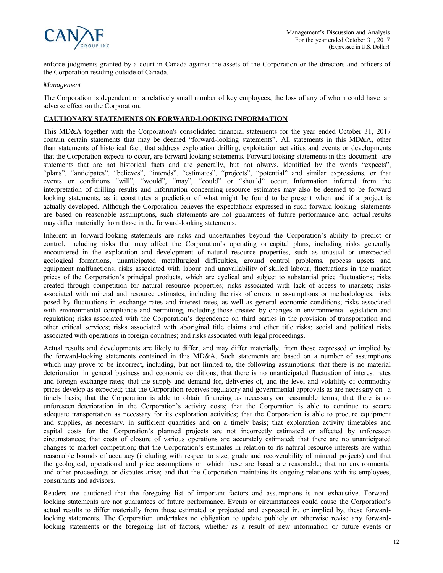

enforce judgments granted by a court in Canada against the assets of the Corporation or the directors and officers of the Corporation residing outside of Canada.

#### *Management*

The Corporation is dependent on a relatively small number of key employees, the loss of any of whom could have an adverse effect on the Corporation.

### **CAUTIONARY STATEMENTS ON FORWARD-LOOKING INFORMATION**

This MD&A together with the Corporation's consolidated financial statements for the year ended October 31, 2017 contain certain statements that may be deemed "forward-looking statements". All statements in this MD&A, other than statements of historical fact, that address exploration drilling, exploitation activities and events or developments that the Corporation expects to occur, are forward looking statements. Forward looking statements in this document are statements that are not historical facts and are generally, but not always, identified by the words "expects", "plans", "anticipates", "believes", "intends", "estimates", "projects", "potential" and similar expressions, or that events or conditions "will", "would", "may", "could" or "should" occur. Information inferred from the interpretation of drilling results and information concerning resource estimates may also be deemed to be forward looking statements, as it constitutes a prediction of what might be found to be present when and if a project is actually developed. Although the Corporation believes the expectations expressed in such forward-looking statements are based on reasonable assumptions, such statements are not guarantees of future performance and actual results may differ materially from those in the forward-looking statements.

Inherent in forward-looking statements are risks and uncertainties beyond the Corporation's ability to predict or control, including risks that may affect the Corporation's operating or capital plans, including risks generally encountered in the exploration and development of natural resource properties, such as unusual or unexpected geological formations, unanticipated metallurgical difficulties, ground control problems, process upsets and equipment malfunctions; risks associated with labour and unavailability of skilled labour; fluctuations in the market prices of the Corporation's principal products, which are cyclical and subject to substantial price fluctuations; risks created through competition for natural resource properties; risks associated with lack of access to markets; risks associated with mineral and resource estimates, including the risk of errors in assumptions or methodologies; risks posed by fluctuations in exchange rates and interest rates, as well as general economic conditions; risks associated with environmental compliance and permitting, including those created by changes in environmental legislation and regulation; risks associated with the Corporation's dependence on third parties in the provision of transportation and other critical services; risks associated with aboriginal title claims and other title risks; social and political risks associated with operations in foreign countries; and risks associated with legal proceedings.

Actual results and developments are likely to differ, and may differ materially, from those expressed or implied by the forward-looking statements contained in this MD&A. Such statements are based on a number of assumptions which may prove to be incorrect, including, but not limited to, the following assumptions: that there is no material deterioration in general business and economic conditions; that there is no unanticipated fluctuation of interest rates and foreign exchange rates; that the supply and demand for, deliveries of, and the level and volatility of commodity prices develop as expected; that the Corporation receives regulatory and governmental approvals as are necessary on a timely basis; that the Corporation is able to obtain financing as necessary on reasonable terms; that there is no unforeseen deterioration in the Corporation's activity costs; that the Corporation is able to continue to secure adequate transportation as necessary for its exploration activities; that the Corporation is able to procure equipment and supplies, as necessary, in sufficient quantities and on a timely basis; that exploration activity timetables and capital costs for the Corporation's planned projects are not incorrectly estimated or affected by unforeseen circumstances; that costs of closure of various operations are accurately estimated; that there are no unanticipated changes to market competition; that the Corporation's estimates in relation to its natural resource interests are within reasonable bounds of accuracy (including with respect to size, grade and recoverability of mineral projects) and that the geological, operational and price assumptions on which these are based are reasonable; that no environmental and other proceedings or disputes arise; and that the Corporation maintains its ongoing relations with its employees, consultants and advisors.

Readers are cautioned that the foregoing list of important factors and assumptions is not exhaustive. Forwardlooking statements are not guarantees of future performance. Events or circumstances could cause the Corporation's actual results to differ materially from those estimated or projected and expressed in, or implied by, these forwardlooking statements. The Corporation undertakes no obligation to update publicly or otherwise revise any forwardlooking statements or the foregoing list of factors, whether as a result of new information or future events or